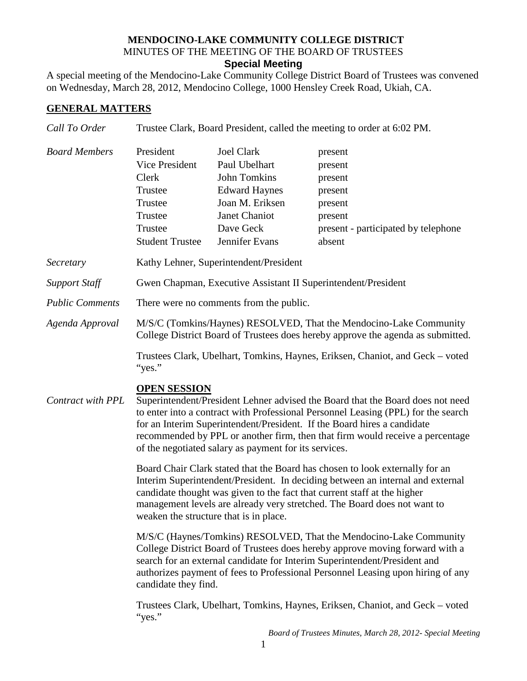## **MENDOCINO-LAKE COMMUNITY COLLEGE DISTRICT** MINUTES OF THE MEETING OF THE BOARD OF TRUSTEES **Special Meeting**

A special meeting of the Mendocino-Lake Community College District Board of Trustees was convened on Wednesday, March 28, 2012, Mendocino College, 1000 Hensley Creek Road, Ukiah, CA.

## **GENERAL MATTERS**

| Call To Order            | Trustee Clark, Board President, called the meeting to order at 6:02 PM.                                                                                                                                                                                                                                                                                                                                         |                                                                                                                                                      |                                                                                                                 |  |
|--------------------------|-----------------------------------------------------------------------------------------------------------------------------------------------------------------------------------------------------------------------------------------------------------------------------------------------------------------------------------------------------------------------------------------------------------------|------------------------------------------------------------------------------------------------------------------------------------------------------|-----------------------------------------------------------------------------------------------------------------|--|
| <b>Board Members</b>     | President<br><b>Vice President</b><br>Clerk<br>Trustee<br>Trustee<br>Trustee<br>Trustee<br><b>Student Trustee</b>                                                                                                                                                                                                                                                                                               | <b>Joel Clark</b><br>Paul Ubelhart<br><b>John Tomkins</b><br><b>Edward Haynes</b><br>Joan M. Eriksen<br>Janet Chaniot<br>Dave Geck<br>Jennifer Evans | present<br>present<br>present<br>present<br>present<br>present<br>present - participated by telephone<br>absent |  |
| Secretary                | Kathy Lehner, Superintendent/President                                                                                                                                                                                                                                                                                                                                                                          |                                                                                                                                                      |                                                                                                                 |  |
| <b>Support Staff</b>     | Gwen Chapman, Executive Assistant II Superintendent/President                                                                                                                                                                                                                                                                                                                                                   |                                                                                                                                                      |                                                                                                                 |  |
| <b>Public Comments</b>   | There were no comments from the public.                                                                                                                                                                                                                                                                                                                                                                         |                                                                                                                                                      |                                                                                                                 |  |
| Agenda Approval          | M/S/C (Tomkins/Haynes) RESOLVED, That the Mendocino-Lake Community<br>College District Board of Trustees does hereby approve the agenda as submitted.                                                                                                                                                                                                                                                           |                                                                                                                                                      |                                                                                                                 |  |
|                          | Trustees Clark, Ubelhart, Tomkins, Haynes, Eriksen, Chaniot, and Geck – voted<br>"yes."                                                                                                                                                                                                                                                                                                                         |                                                                                                                                                      |                                                                                                                 |  |
| <b>Contract with PPL</b> | <b>OPEN SESSION</b><br>Superintendent/President Lehner advised the Board that the Board does not need<br>to enter into a contract with Professional Personnel Leasing (PPL) for the search<br>for an Interim Superintendent/President. If the Board hires a candidate<br>recommended by PPL or another firm, then that firm would receive a percentage<br>of the negotiated salary as payment for its services. |                                                                                                                                                      |                                                                                                                 |  |
|                          | Board Chair Clark stated that the Board has chosen to look externally for an<br>Interim Superintendent/President. In deciding between an internal and external<br>candidate thought was given to the fact that current staff at the higher<br>management levels are already very stretched. The Board does not want to<br>weaken the structure that is in place.                                                |                                                                                                                                                      |                                                                                                                 |  |
|                          | M/S/C (Haynes/Tomkins) RESOLVED, That the Mendocino-Lake Community<br>College District Board of Trustees does hereby approve moving forward with a<br>search for an external candidate for Interim Superintendent/President and<br>authorizes payment of fees to Professional Personnel Leasing upon hiring of any<br>candidate they find.                                                                      |                                                                                                                                                      |                                                                                                                 |  |
|                          | Trustees Clark, Ubelhart, Tomkins, Haynes, Eriksen, Chaniot, and Geck – voted<br>"yes."                                                                                                                                                                                                                                                                                                                         |                                                                                                                                                      |                                                                                                                 |  |

*Board of Trustees Minutes, March 28, 2012- Special Meeting*